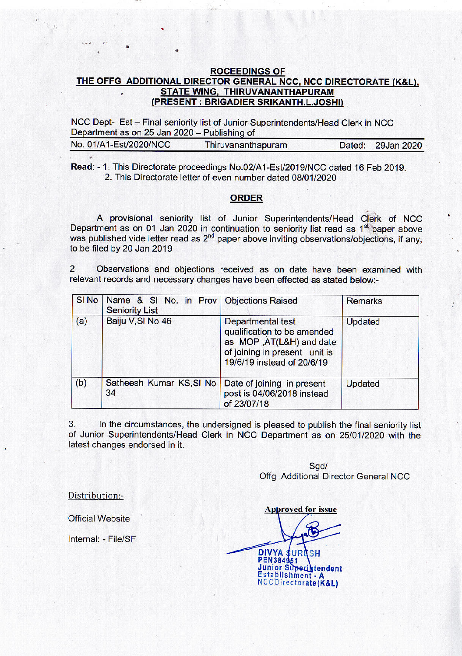## **ROCEEDINGS OF** THE OFFG ADDITIONAL DIRECTOR GENERAL NCC, NCC DIRECTORATE (K&L), **STATE WING, THIRUVANANTHAPURAM** (PRESENT : BRIGADIER SRIKANTH.L.JOSHI)

NCC Dept- Est - Final seniority list of Junior Superintendents/Head Clerk in NCC Department as on 25 Jan 2020 - Publishing of

| No. 01/A1-Est/2020/NCC | Thiruvananthapuram | Dated: 29Jan 2020 |
|------------------------|--------------------|-------------------|
|                        |                    |                   |

Read: - 1. This Directorate proceedings No.02/A1-Est/2019/NCC dated 16 Feb 2019. 2. This Directorate letter of even number dated 08/01/2020

## **ORDER**

A provisional seniority list of Junior Superintendents/Head Clerk of NCC Department as on 01 Jan 2020 in continuation to seniority list read as 1<sup>st</sup> paper above was published vide letter read as  $2<sup>nd</sup>$  paper above inviting observations/objections, if any, to be filed by 20 Jan 2019

 $\overline{2}$ Observations and objections received as on date have been examined with relevant records and necessary changes have been effected as stated below:-

|     | SI No   Name & SI No. in Prov   Objections Raised<br><b>Seniority List</b> |                                                                                                                                              | <b>Remarks</b> |
|-----|----------------------------------------------------------------------------|----------------------------------------------------------------------------------------------------------------------------------------------|----------------|
| (a) | Baiju V, SI No 46                                                          | Departmental test<br>qualification to be amended<br>as MOP , AT(L&H) and date<br>of joining in present unit is<br>19/6/19 instead of 20/6/19 | Updated        |
| (b) | Satheesh Kumar KS, SI No<br>34                                             | Date of joining in present<br>post is 04/06/2018 instead<br>of 23/07/18                                                                      | <b>Updated</b> |

 $3.$ In the circumstances, the undersigned is pleased to publish the final seniority list of Junior Superintendents/Head Clerk in NCC Department as on 25/01/2020 with the latest changes endorsed in it.

> Sad/ Offg Additional Director General NCC

Distribution:-

**Official Website** 

Internal: - File/SF

**Approved for issue DIVYA \$ URESH** PEN384951 Junior Superintendent Establishment - / NCCDirectorate(K&L)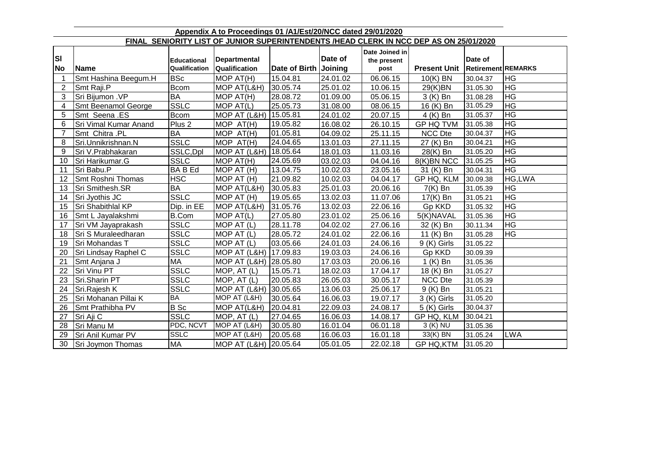| Appendix A to Proceedings 01 /A1/Est/20/NCC dated 29/01/2020 |                                                                                        |                    |                          |               |          |                |                     |                           |            |
|--------------------------------------------------------------|----------------------------------------------------------------------------------------|--------------------|--------------------------|---------------|----------|----------------|---------------------|---------------------------|------------|
|                                                              | FINAL SENIORITY LIST OF JUNIOR SUPERINTENDENTS /HEAD CLERK IN NCC DEP AS ON 25/01/2020 |                    |                          |               |          |                |                     |                           |            |
|                                                              |                                                                                        |                    |                          |               |          | Date Joined in |                     |                           |            |
| ΙSΙ                                                          |                                                                                        | <b>Educational</b> | <b>Departmental</b>      |               | Date of  | the present    |                     | Date of                   |            |
| <b>No</b>                                                    | Name                                                                                   | Qualification      | Qualification            | Date of Birth | Joining  | post           | <b>Present Unit</b> | <b>Retirement REMARKS</b> |            |
| -1                                                           | Smt Hashina Beegum.H                                                                   | <b>BSc</b>         | MOP AT(H)                | 15.04.81      | 24.01.02 | 06.06.15       | 10(K) BN            | 30.04.37                  | <b>HG</b>  |
| $\overline{2}$                                               | Smt Raji.P                                                                             | <b>Bcom</b>        | MOP AT(L&H)              | 30.05.74      | 25.01.02 | 10.06.15       | 29(K)BN             | 31.05.30                  | <b>HG</b>  |
| 3                                                            | Sri Bijumon . VP                                                                       | <b>BA</b>          | MOP AT(H)                | 28.08.72      | 01.09.00 | 05.06.15       | 3 (K) Bn            | 31.08.28                  | <b>HG</b>  |
| 4                                                            | Smt Beenamol George                                                                    | <b>SSLC</b>        | MOP AT(L)                | 25.05.73      | 31.08.00 | 08.06.15       | 16 (K) Bn           | 31.05.29                  | <b>HG</b>  |
| 5                                                            | Smt Seena .ES                                                                          | <b>Bcom</b>        | MOP AT (L&H)   15.05.81  |               | 24.01.02 | 20.07.15       | 4 (K) Bn            | 31.05.37                  | <b>HG</b>  |
| 6                                                            | Sri Vimal Kumar Anand                                                                  | Plus <sub>2</sub>  | MOP AT(H)                | 19.05.82      | 16.08.02 | 26.10.15       | <b>GP HQ TVM</b>    | 31.05.38                  | <b>HG</b>  |
| 7                                                            | Smt Chitra .PL                                                                         | <b>BA</b>          | MOP AT(H)                | 01.05.81      | 04.09.02 | 25.11.15       | <b>NCC Dte</b>      | 30.04.37                  | <b>HG</b>  |
| 8                                                            | Sri.Unnikrishnan.N                                                                     | <b>SSLC</b>        | MOP AT(H)                | 24.04.65      | 13.01.03 | 27.11.15       | 27 (K) Bn           | 30.04.21                  | <b>HG</b>  |
| 9                                                            | Sri V.Prabhakaran                                                                      | SSLC, Dpl          | MOP AT (L&H)   18.05.64  |               | 18.01.03 | 11.03.16       | 28(K) Bn            | 31.05.20                  | <b>HG</b>  |
| 10                                                           | Sri Harikumar.G                                                                        | <b>SSLC</b>        | MOP AT(H)                | 24.05.69      | 03.02.03 | 04.04.16       | 8(K)BN NCC          | 31.05.25                  | <b>HG</b>  |
| 11                                                           | Sri Babu.P                                                                             | <b>BABEd</b>       | MOP AT (H)               | 13.04.75      | 10.02.03 | 23.05.16       | 31 (K) Bn           | 30.04.31                  | <b>HG</b>  |
| 12                                                           | Smt Roshni Thomas                                                                      | HSC                | MOP AT (H)               | 21.09.82      | 10.02.03 | 04.04.17       | GP HQ, KLM          | 30.09.38                  | HG,LWA     |
| 13                                                           | Sri Smithesh.SR                                                                        | <b>BA</b>          | MOP AT(L&H)              | 30.05.83      | 25.01.03 | 20.06.16       | $7(K)$ Bn           | 31.05.39                  | <b>HG</b>  |
| 14                                                           | Sri Jyothis JC                                                                         | <b>SSLC</b>        | MOP AT (H)               | 19.05.65      | 13.02.03 | 11.07.06       | 17(K) Bn            | 31.05.21                  | <b>HG</b>  |
| 15                                                           | Sri Shabithlal KP                                                                      | Dip. in EE         | MOP AT(L&H)              | 31.05.76      | 13.02.03 | 22.06.16       | Gp KKD              | 31.05.32                  | <b>HG</b>  |
| 16                                                           | Smt L Jayalakshmi                                                                      | <b>B.Com</b>       | MOP AT(L)                | 27.05.80      | 23.01.02 | 25.06.16       | 5(K)NAVAL           | 31.05.36                  | <b>HG</b>  |
| 17                                                           | Sri VM Jayaprakash                                                                     | <b>SSLC</b>        | MOP AT (L)               | 28.11.78      | 04.02.02 | 27.06.16       | 32 (K) Bn           | 30.11.34                  | <b>HG</b>  |
| 18                                                           | Sri S Muraleedharan                                                                    | <b>SSLC</b>        | MOP AT (L)               | 28.05.72      | 24.01.02 | 22.06.16       | 11 (K) Bn           | 31.05.28                  | <b>HG</b>  |
| 19                                                           | Sri Mohandas T                                                                         | <b>SSLC</b>        | MOP AT (L)               | 03.05.66      | 24.01.03 | 24.06.16       | 9 (K) Girls         | 31.05.22                  |            |
| 20                                                           | Sri Lindsay Raphel C                                                                   | <b>SSLC</b>        | MOP AT (L&H) 17.09.83    |               | 19.03.03 | 24.06.16       | Gp KKD              | 30.09.39                  |            |
| 21                                                           | Smt Anjana J                                                                           | <b>MA</b>          | MOP AT (L&H) 28.05.80    |               | 17.03.03 | 20.06.16       | 1 (K) Bn            | 31.05.36                  |            |
| 22                                                           | Sri Vinu PT                                                                            | <b>SSLC</b>        | MOP, AT (L)              | 15.05.71      | 18.02.03 | 17.04.17       | 18 (K) Bn           | 31.05.27                  |            |
| 23                                                           | Sri.Sharin PT                                                                          | <b>SSLC</b>        | MOP, AT (L)              | 20.05.83      | 26.05.03 | 30.05.17       | <b>NCC Dte</b>      | 31.05.39                  |            |
| 24                                                           | Sri.Rajesh K                                                                           | <b>SSLC</b>        | MOP AT (L&H) 30.05.65    |               | 13.06.03 | 25.06.17       | 9 (K) Bn            | 31.05.21                  |            |
| 25                                                           | Sri Mohanan Pillai K                                                                   | BA                 | $\overline{MOPAT}$ (L&H) | 30.05.64      | 16.06.03 | 19.07.17       | 3 (K) Girls         | 31.05.20                  |            |
| 26                                                           | Smt Prathibha PV                                                                       | <b>B</b> Sc        | MOP AT(L&H)              | 20.04.81      | 22.09.03 | 24.08.17       | 5 (K) Girls         | 30.04.37                  |            |
| 27                                                           | Sri Aji C                                                                              | <b>SSLC</b>        | MOP, AT (L)              | 27.04.65      | 16.06.03 | 14.08.17       | GP HQ, KLM          | 30.04.21                  |            |
| 28                                                           | Sri Manu M                                                                             | PDC, NCVT          | MOP AT (L&H)             | 30.05.80      | 16.01.04 | 06.01.18       | 3 (K) NU            | 31.05.36                  |            |
| 29                                                           | Sri Anil Kumar PV                                                                      | <b>SSLC</b>        | MOP AT (L&H)             | 20.05.68      | 16.06.03 | 16.01.18       | 33(K) BN            | 31.05.24                  | <b>LWA</b> |
| 30                                                           | Sri Joymon Thomas                                                                      | <b>MA</b>          | MOP AT (L&H) 20.05.64    |               | 05.01.05 | 22.02.18       | GP HQ, KTM          | 31.05.20                  |            |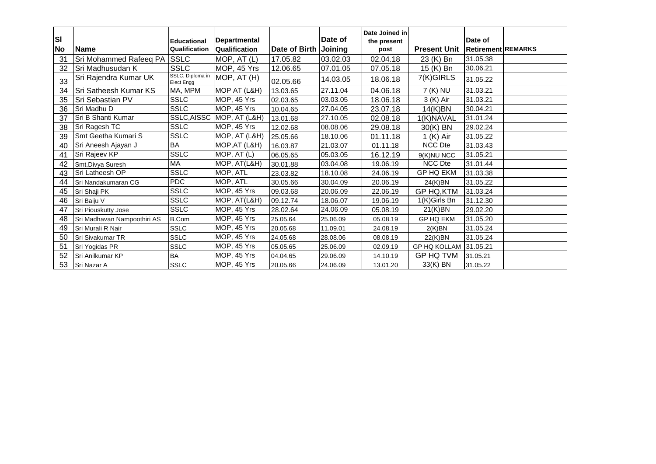| <b>SI</b><br>No | <b>Name</b>                 | <b>Educational</b><br>Qualification   | <b>Departmental</b><br>Qualification | Date of Birth | Date of<br>Joining | Date Joined in<br>the present<br>post | <b>Present Unit</b> | Date of<br><b>Retirement REMARKS</b> |  |
|-----------------|-----------------------------|---------------------------------------|--------------------------------------|---------------|--------------------|---------------------------------------|---------------------|--------------------------------------|--|
| 31              | Sri Mohammed Rafeeq PA      | SSLC                                  | MOP, AT (L)                          | 17.05.82      | 03.02.03           | 02.04.18                              | 23 (K) Bn           | 31.05.38                             |  |
| 32              | Sri Madhusudan K            | <b>SSLC</b>                           | MOP, 45 Yrs                          | 12.06.65      | 07.01.05           | 07.05.18                              | 15 (K) Bn           | 30.06.21                             |  |
| 33              | Sri Rajendra Kumar UK       | SSLC, Diploma in<br><b>Elect Engg</b> | MOP, AT (H)                          | 02.05.66      | 14.03.05           | 18.06.18                              | 7(K)GIRLS           | 31.05.22                             |  |
| 34              | Sri Satheesh Kumar KS       | MA, MPM                               | MOP AT (L&H)                         | 13.03.65      | 27.11.04           | 04.06.18                              | 7 (K) NU            | 31.03.21                             |  |
| 35              | Sri Sebastian PV            | <b>SSLC</b>                           | MOP, 45 Yrs                          | 02.03.65      | 03.03.05           | 18.06.18                              | 3 (K) Air           | 31.03.21                             |  |
| 36              | Sri Madhu D                 | <b>SSLC</b>                           | MOP, 45 Yrs                          | 10.04.65      | 27.04.05           | 23.07.18                              | 14(K)BN             | 30.04.21                             |  |
| 37              | Sri B Shanti Kumar          |                                       | SSLC, AISSC MOP, AT (L&H)            | 13.01.68      | 27.10.05           | 02.08.18                              | 1(K)NAVAL           | 31.01.24                             |  |
| 38              | Sri Ragesh TC               | <b>SSLC</b>                           | MOP, 45 Yrs                          | 12.02.68      | 08.08.06           | 29.08.18                              | 30(K) BN            | 29.02.24                             |  |
| 39              | Smt Geetha Kumari S         | <b>SSLC</b>                           | $\overline{MOP}$ , AT (L&H)          | 25.05.66      | 18.10.06           | 01.11.18                              | $1(K)$ Air          | 31.05.22                             |  |
| 40              | Sri Aneesh Ajayan J         | <b>BA</b>                             | MOP, AT (L&H)                        | 16.03.87      | 21.03.07           | 01.11.18                              | NCC Dte             | 31.03.43                             |  |
| 41              | Sri Rajeev KP               | <b>SSLC</b>                           | $\overline{M}$ OP, AT (L)            | 06.05.65      | 05.03.05           | 16.12.19                              | 9(K)NU NCC          | 31.05.21                             |  |
| 42              | Smt.Divya Suresh            | <b>MA</b>                             | MOP, AT(L&H)                         | 30.01.88      | 03.04.08           | 19.06.19                              | <b>NCC Dte</b>      | 31.01.44                             |  |
| 43              | Sri Latheesh OP             | <b>SSLC</b>                           | MOP, ATL                             | 23.03.82      | 18.10.08           | 24.06.19                              | <b>GP HQ EKM</b>    | 31.03.38                             |  |
| 44              | Sri Nandakumaran CG         | <b>PDC</b>                            | MOP, ATL                             | 30.05.66      | 30.04.09           | 20.06.19                              | 24(K)BN             | 31.05.22                             |  |
| 45              | Sri Shaji PK                | <b>SSLC</b>                           | MOP, 45 Yrs                          | 09.03.68      | 20.06.09           | 22.06.19                              | GP HQ, KTM          | 31.03.24                             |  |
| 46              | Sri Baiju V                 | <b>SSLC</b>                           | MOP, AT(L&H)                         | 09.12.74      | 18.06.07           | 19.06.19                              | 1(K)Girls Bn        | 31.12.30                             |  |
| 47              | Sri Piouskutty Jose         | <b>SSLC</b>                           | MOP, 45 Yrs                          | 28.02.64      | 24.06.09           | 05.08.19                              | 21(K)BN             | 29.02.20                             |  |
| 48              | Sri Madhavan Nampoothiri AS | B.Com                                 | MOP, 45 Yrs                          | 25.05.64      | 25.06.09           | 05.08.19                              | <b>GP HQ EKM</b>    | 31.05.20                             |  |
| 49              | Sri Murali R Nair           | <b>SSLC</b>                           | MOP, 45 Yrs                          | 20.05.68      | 11.09.01           | 24.08.19                              | 2(K)BN              | 31.05.24                             |  |
| 50              | Sri Sivakumar TR            | <b>SSLC</b>                           | MOP, 45 Yrs                          | 24.05.68      | 28.08.06           | 08.08.19                              | 22(K)BN             | 31.05.24                             |  |
| 51              | Sri Yogidas PR              | <b>SSLC</b>                           | MOP, 45 Yrs                          | 05.05.65      | 25.06.09           | 02.09.19                              | <b>GP HQ KOLLAM</b> | 31.05.21                             |  |
| 52              | Sri Anilkumar KP            | <b>BA</b>                             | MOP, 45 Yrs                          | 04.04.65      | 29.06.09           | 14.10.19                              | GP HQ TVM           | 31.05.21                             |  |
| 53              | Sri Nazar A                 | <b>SSLC</b>                           | MOP, 45 Yrs                          | 20.05.66      | 24.06.09           | 13.01.20                              | 33(K) BN            | 31.05.22                             |  |